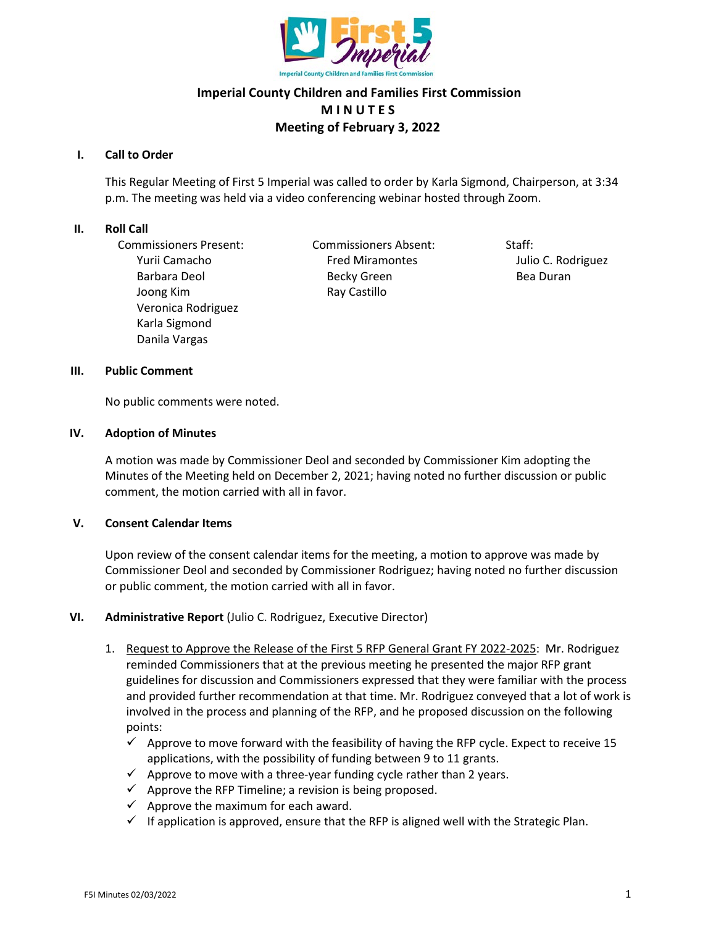

# **Imperial County Children and Families First Commission M I N U T E S Meeting of February 3, 2022**

#### **I. Call to Order**

This Regular Meeting of First 5 Imperial was called to order by Karla Sigmond, Chairperson, at 3:34 p.m. The meeting was held via a video conferencing webinar hosted through Zoom.

#### **II. Roll Call**

Commissioners Present: Commissioners Absent: Staff: Joong Kim Ray Castillo Veronica Rodriguez Karla Sigmond Danila Vargas

Yurii Camacho Fred Miramontes Julio C. Rodriguez Barbara Deol **Becky Green** Becky Green Bea Duran

#### **III. Public Comment**

No public comments were noted.

#### **IV. Adoption of Minutes**

A motion was made by Commissioner Deol and seconded by Commissioner Kim adopting the Minutes of the Meeting held on December 2, 2021; having noted no further discussion or public comment, the motion carried with all in favor.

## **V. Consent Calendar Items**

Upon review of the consent calendar items for the meeting, a motion to approve was made by Commissioner Deol and seconded by Commissioner Rodriguez; having noted no further discussion or public comment, the motion carried with all in favor.

## **VI. Administrative Report** (Julio C. Rodriguez, Executive Director)

- 1. Request to Approve the Release of the First 5 RFP General Grant FY 2022-2025: Mr. Rodriguez reminded Commissioners that at the previous meeting he presented the major RFP grant guidelines for discussion and Commissioners expressed that they were familiar with the process and provided further recommendation at that time. Mr. Rodriguez conveyed that a lot of work is involved in the process and planning of the RFP, and he proposed discussion on the following points:
	- $\checkmark$  Approve to move forward with the feasibility of having the RFP cycle. Expect to receive 15 applications, with the possibility of funding between 9 to 11 grants.
	- $\checkmark$  Approve to move with a three-year funding cycle rather than 2 years.
	- $\checkmark$  Approve the RFP Timeline; a revision is being proposed.
	- $\checkmark$  Approve the maximum for each award.
	- $\checkmark$  If application is approved, ensure that the RFP is aligned well with the Strategic Plan.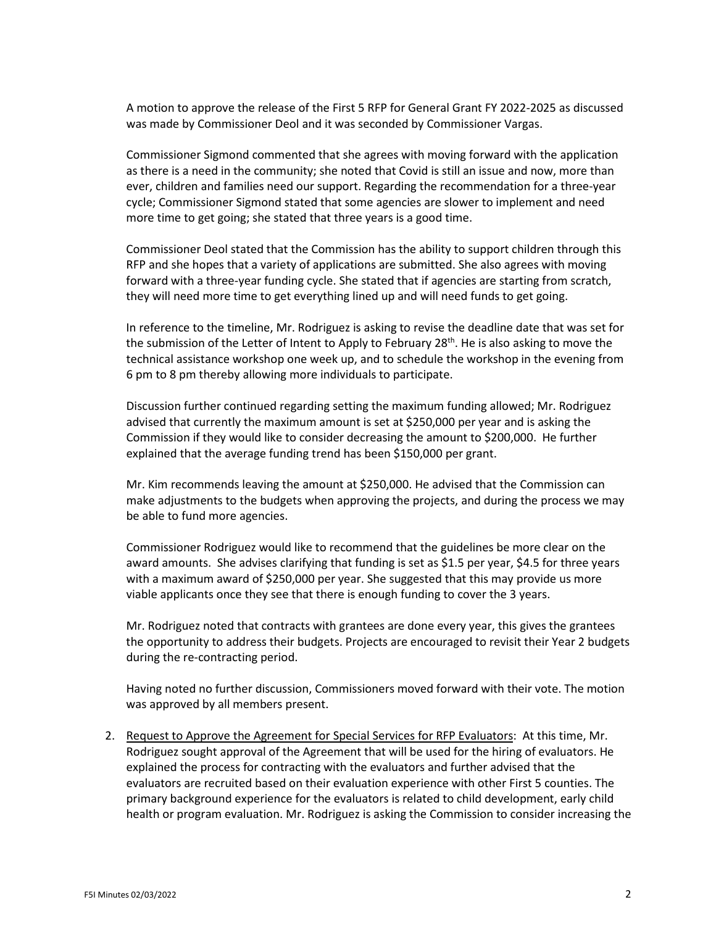A motion to approve the release of the First 5 RFP for General Grant FY 2022-2025 as discussed was made by Commissioner Deol and it was seconded by Commissioner Vargas.

Commissioner Sigmond commented that she agrees with moving forward with the application as there is a need in the community; she noted that Covid is still an issue and now, more than ever, children and families need our support. Regarding the recommendation for a three-year cycle; Commissioner Sigmond stated that some agencies are slower to implement and need more time to get going; she stated that three years is a good time.

Commissioner Deol stated that the Commission has the ability to support children through this RFP and she hopes that a variety of applications are submitted. She also agrees with moving forward with a three-year funding cycle. She stated that if agencies are starting from scratch, they will need more time to get everything lined up and will need funds to get going.

In reference to the timeline, Mr. Rodriguez is asking to revise the deadline date that was set for the submission of the Letter of Intent to Apply to February  $28<sup>th</sup>$ . He is also asking to move the technical assistance workshop one week up, and to schedule the workshop in the evening from 6 pm to 8 pm thereby allowing more individuals to participate.

Discussion further continued regarding setting the maximum funding allowed; Mr. Rodriguez advised that currently the maximum amount is set at \$250,000 per year and is asking the Commission if they would like to consider decreasing the amount to \$200,000. He further explained that the average funding trend has been \$150,000 per grant.

Mr. Kim recommends leaving the amount at \$250,000. He advised that the Commission can make adjustments to the budgets when approving the projects, and during the process we may be able to fund more agencies.

Commissioner Rodriguez would like to recommend that the guidelines be more clear on the award amounts. She advises clarifying that funding is set as \$1.5 per year, \$4.5 for three years with a maximum award of \$250,000 per year. She suggested that this may provide us more viable applicants once they see that there is enough funding to cover the 3 years.

Mr. Rodriguez noted that contracts with grantees are done every year, this gives the grantees the opportunity to address their budgets. Projects are encouraged to revisit their Year 2 budgets during the re-contracting period.

Having noted no further discussion, Commissioners moved forward with their vote. The motion was approved by all members present.

2. Request to Approve the Agreement for Special Services for RFP Evaluators: At this time, Mr. Rodriguez sought approval of the Agreement that will be used for the hiring of evaluators. He explained the process for contracting with the evaluators and further advised that the evaluators are recruited based on their evaluation experience with other First 5 counties. The primary background experience for the evaluators is related to child development, early child health or program evaluation. Mr. Rodriguez is asking the Commission to consider increasing the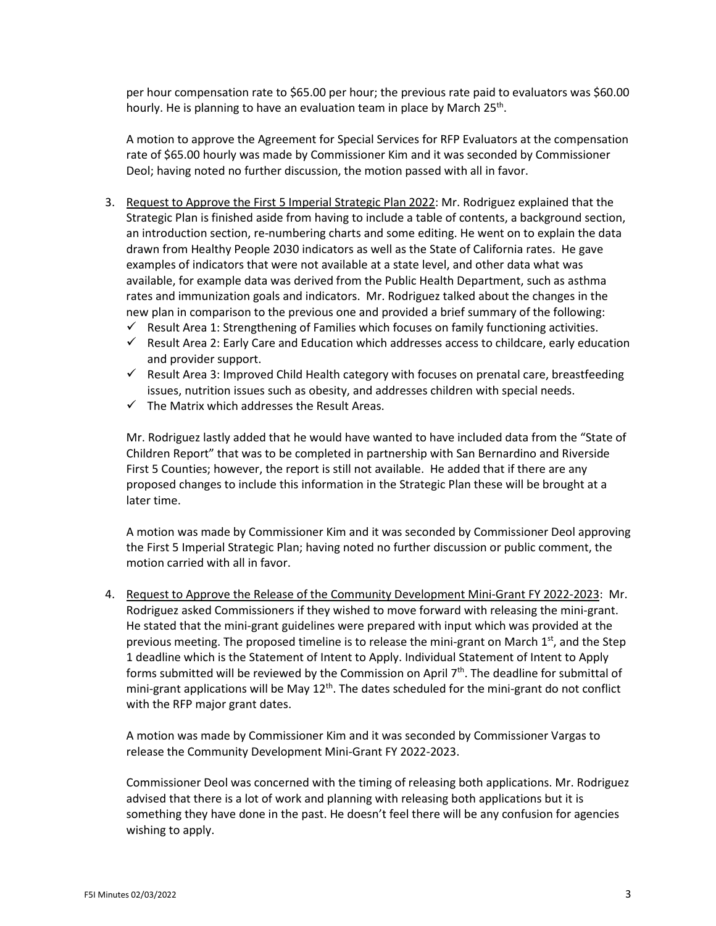per hour compensation rate to \$65.00 per hour; the previous rate paid to evaluators was \$60.00 hourly. He is planning to have an evaluation team in place by March 25<sup>th</sup>.

A motion to approve the Agreement for Special Services for RFP Evaluators at the compensation rate of \$65.00 hourly was made by Commissioner Kim and it was seconded by Commissioner Deol; having noted no further discussion, the motion passed with all in favor.

- 3. Request to Approve the First 5 Imperial Strategic Plan 2022: Mr. Rodriguez explained that the Strategic Plan is finished aside from having to include a table of contents, a background section, an introduction section, re-numbering charts and some editing. He went on to explain the data drawn from Healthy People 2030 indicators as well as the State of California rates. He gave examples of indicators that were not available at a state level, and other data what was available, for example data was derived from the Public Health Department, such as asthma rates and immunization goals and indicators. Mr. Rodriguez talked about the changes in the new plan in comparison to the previous one and provided a brief summary of the following:
	- $\checkmark$  Result Area 1: Strengthening of Families which focuses on family functioning activities.
	- $\checkmark$  Result Area 2: Early Care and Education which addresses access to childcare, early education and provider support.
	- $\checkmark$  Result Area 3: Improved Child Health category with focuses on prenatal care, breastfeeding issues, nutrition issues such as obesity, and addresses children with special needs.
	- $\checkmark$  The Matrix which addresses the Result Areas.

Mr. Rodriguez lastly added that he would have wanted to have included data from the "State of Children Report" that was to be completed in partnership with San Bernardino and Riverside First 5 Counties; however, the report is still not available. He added that if there are any proposed changes to include this information in the Strategic Plan these will be brought at a later time.

A motion was made by Commissioner Kim and it was seconded by Commissioner Deol approving the First 5 Imperial Strategic Plan; having noted no further discussion or public comment, the motion carried with all in favor.

4. Request to Approve the Release of the Community Development Mini-Grant FY 2022-2023: Mr. Rodriguez asked Commissioners if they wished to move forward with releasing the mini-grant. He stated that the mini-grant guidelines were prepared with input which was provided at the previous meeting. The proposed timeline is to release the mini-grant on March  $1<sup>st</sup>$ , and the Step 1 deadline which is the Statement of Intent to Apply. Individual Statement of Intent to Apply forms submitted will be reviewed by the Commission on April 7th. The deadline for submittal of mini-grant applications will be May  $12<sup>th</sup>$ . The dates scheduled for the mini-grant do not conflict with the RFP major grant dates.

A motion was made by Commissioner Kim and it was seconded by Commissioner Vargas to release the Community Development Mini-Grant FY 2022-2023.

Commissioner Deol was concerned with the timing of releasing both applications. Mr. Rodriguez advised that there is a lot of work and planning with releasing both applications but it is something they have done in the past. He doesn't feel there will be any confusion for agencies wishing to apply.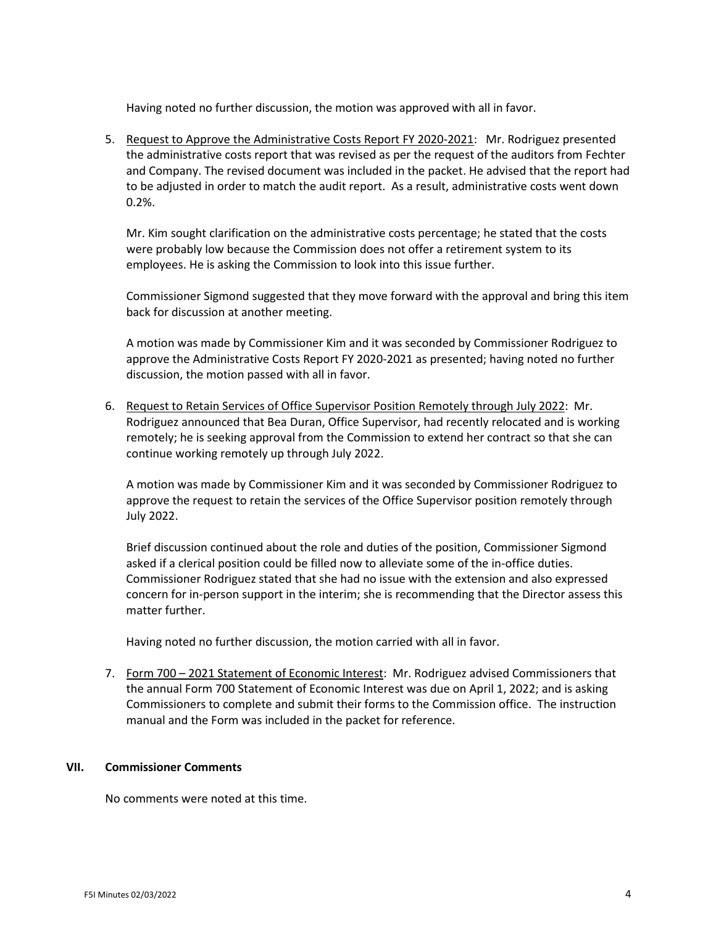Having noted no further discussion, the motion was approved with all in favor.

5. Request to Approve the Administrative Costs Report FY 2020-2021: Mr. Rodriguez presented the administrative costs report that was revised as per the request of the auditors from Fechter and Company. The revised document was included in the packet. He advised that the report had to be adjusted in order to match the audit report. As a result, administrative costs went down 0.2%.

Mr. Kim sought clarification on the administrative costs percentage; he stated that the costs were probably low because the Commission does not offer a retirement system to its employees. He is asking the Commission to look into this issue further.

Commissioner Sigmond suggested that they move forward with the approval and bring this item back for discussion at another meeting.

A motion was made by Commissioner Kim and it was seconded by Commissioner Rodriguez to approve the Administrative Costs Report FY 2020-2021 as presented; having noted no further discussion, the motion passed with all in favor.

6. Request to Retain Services of Office Supervisor Position Remotely through July 2022: Mr. Rodriguez announced that Bea Duran, Office Supervisor, had recently relocated and is working remotely; he is seeking approval from the Commission to extend her contract so that she can continue working remotely up through July 2022.

A motion was made by Commissioner Kim and it was seconded by Commissioner Rodriguez to approve the request to retain the services of the Office Supervisor position remotely through July 2022.

Brief discussion continued about the role and duties of the position, Commissioner Sigmond asked if a clerical position could be filled now to alleviate some of the in-office duties. Commissioner Rodriguez stated that she had no issue with the extension and also expressed concern for in-person support in the interim; she is recommending that the Director assess this matter further.

Having noted no further discussion, the motion carried with all in favor.

7. Form 700 – 2021 Statement of Economic Interest: Mr. Rodriguez advised Commissioners that the annual Form 700 Statement of Economic Interest was due on April 1, 2022; and is asking Commissioners to complete and submit their forms to the Commission office. The instruction manual and the Form was included in the packet for reference.

#### **VII. Commissioner Comments**

No comments were noted at this time.